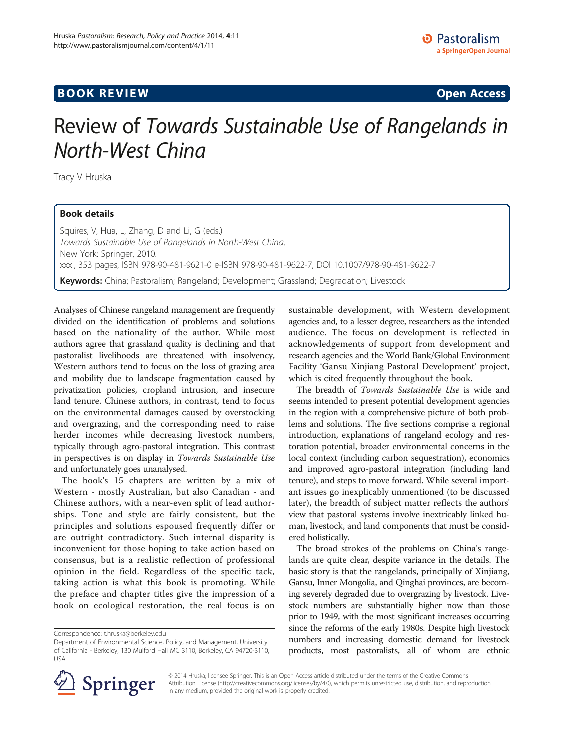# Review of Towards Sustainable Use of Rangelands in North-West China

Tracy V Hruska

## Book details

Squires, V, Hua, L, Zhang, D and Li, G (eds.) Towards Sustainable Use of Rangelands in North-West China. New York: Springer, 2010. xxxi, 353 pages, ISBN 978-90-481-9621-0 e-ISBN 978-90-481-9622-7, DOI 10.1007/978-90-481-9622-7 Keywords: China; Pastoralism; Rangeland; Development; Grassland; Degradation; Livestock

Analyses of Chinese rangeland management are frequently divided on the identification of problems and solutions based on the nationality of the author. While most authors agree that grassland quality is declining and that pastoralist livelihoods are threatened with insolvency, Western authors tend to focus on the loss of grazing area and mobility due to landscape fragmentation caused by privatization policies, cropland intrusion, and insecure land tenure. Chinese authors, in contrast, tend to focus on the environmental damages caused by overstocking and overgrazing, and the corresponding need to raise herder incomes while decreasing livestock numbers, typically through agro-pastoral integration. This contrast in perspectives is on display in Towards Sustainable Use and unfortunately goes unanalysed.

The book's 15 chapters are written by a mix of Western - mostly Australian, but also Canadian - and Chinese authors, with a near-even split of lead authorships. Tone and style are fairly consistent, but the principles and solutions espoused frequently differ or are outright contradictory. Such internal disparity is inconvenient for those hoping to take action based on consensus, but is a realistic reflection of professional opinion in the field. Regardless of the specific tack, taking action is what this book is promoting. While the preface and chapter titles give the impression of a book on ecological restoration, the real focus is on

Correspondence: [t.hruska@berkeley.edu](mailto:t.hruska@berkeley.edu)

sustainable development, with Western development agencies and, to a lesser degree, researchers as the intended audience. The focus on development is reflected in acknowledgements of support from development and research agencies and the World Bank/Global Environment Facility 'Gansu Xinjiang Pastoral Development' project, which is cited frequently throughout the book.

The breadth of Towards Sustainable Use is wide and seems intended to present potential development agencies in the region with a comprehensive picture of both problems and solutions. The five sections comprise a regional introduction, explanations of rangeland ecology and restoration potential, broader environmental concerns in the local context (including carbon sequestration), economics and improved agro-pastoral integration (including land tenure), and steps to move forward. While several important issues go inexplicably unmentioned (to be discussed later), the breadth of subject matter reflects the authors' view that pastoral systems involve inextricably linked human, livestock, and land components that must be considered holistically.

The broad strokes of the problems on China's rangelands are quite clear, despite variance in the details. The basic story is that the rangelands, principally of Xinjiang, Gansu, Inner Mongolia, and Qinghai provinces, are becoming severely degraded due to overgrazing by livestock. Livestock numbers are substantially higher now than those prior to 1949, with the most significant increases occurring since the reforms of the early 1980s. Despite high livestock numbers and increasing domestic demand for livestock products, most pastoralists, all of whom are ethnic



© 2014 Hruska; licensee Springer. This is an Open Access article distributed under the terms of the Creative Commons Attribution License (http://creativecommons.org/licenses/by/4.0), which permits unrestricted use, distribution, and reproduction in any medium, provided the original work is properly credited.

Department of Environmental Science, Policy, and Management, University of California - Berkeley, 130 Mulford Hall MC 3110, Berkeley, CA 94720-3110, USA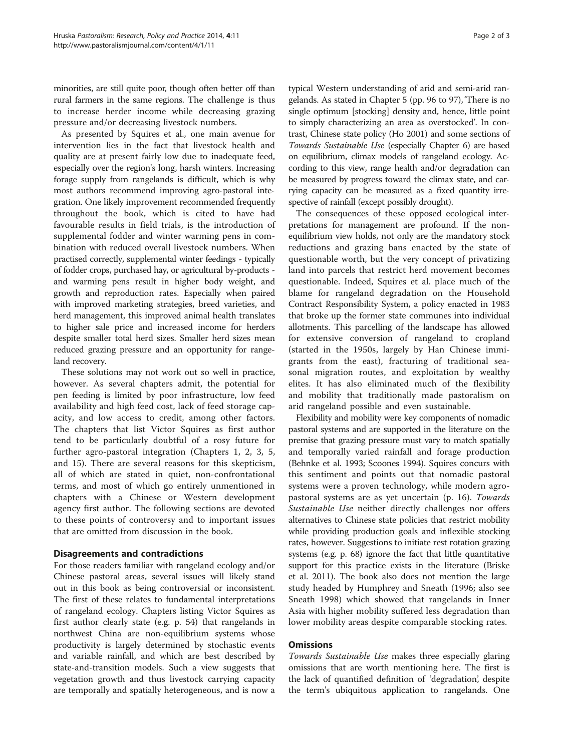minorities, are still quite poor, though often better off than rural farmers in the same regions. The challenge is thus to increase herder income while decreasing grazing pressure and/or decreasing livestock numbers.

As presented by Squires et al., one main avenue for intervention lies in the fact that livestock health and quality are at present fairly low due to inadequate feed, especially over the region's long, harsh winters. Increasing forage supply from rangelands is difficult, which is why most authors recommend improving agro-pastoral integration. One likely improvement recommended frequently throughout the book, which is cited to have had favourable results in field trials, is the introduction of supplemental fodder and winter warming pens in combination with reduced overall livestock numbers. When practised correctly, supplemental winter feedings - typically of fodder crops, purchased hay, or agricultural by-products and warming pens result in higher body weight, and growth and reproduction rates. Especially when paired with improved marketing strategies, breed varieties, and herd management, this improved animal health translates to higher sale price and increased income for herders despite smaller total herd sizes. Smaller herd sizes mean reduced grazing pressure and an opportunity for rangeland recovery.

These solutions may not work out so well in practice, however. As several chapters admit, the potential for pen feeding is limited by poor infrastructure, low feed availability and high feed cost, lack of feed storage capacity, and low access to credit, among other factors. The chapters that list Victor Squires as first author tend to be particularly doubtful of a rosy future for further agro-pastoral integration (Chapters 1, 2, 3, 5, and 15). There are several reasons for this skepticism, all of which are stated in quiet, non-confrontational terms, and most of which go entirely unmentioned in chapters with a Chinese or Western development agency first author. The following sections are devoted to these points of controversy and to important issues that are omitted from discussion in the book.

## Disagreements and contradictions

For those readers familiar with rangeland ecology and/or Chinese pastoral areas, several issues will likely stand out in this book as being controversial or inconsistent. The first of these relates to fundamental interpretations of rangeland ecology. Chapters listing Victor Squires as first author clearly state (e.g. p. 54) that rangelands in northwest China are non-equilibrium systems whose productivity is largely determined by stochastic events and variable rainfall, and which are best described by state-and-transition models. Such a view suggests that vegetation growth and thus livestock carrying capacity are temporally and spatially heterogeneous, and is now a typical Western understanding of arid and semi-arid rangelands. As stated in Chapter 5 (pp. 96 to 97), 'There is no single optimum [stocking] density and, hence, little point to simply characterizing an area as overstocked'. In contrast, Chinese state policy (Ho [2001\)](#page-2-0) and some sections of Towards Sustainable Use (especially Chapter 6) are based on equilibrium, climax models of rangeland ecology. According to this view, range health and/or degradation can be measured by progress toward the climax state, and carrying capacity can be measured as a fixed quantity irrespective of rainfall (except possibly drought).

The consequences of these opposed ecological interpretations for management are profound. If the nonequilibrium view holds, not only are the mandatory stock reductions and grazing bans enacted by the state of questionable worth, but the very concept of privatizing land into parcels that restrict herd movement becomes questionable. Indeed, Squires et al. place much of the blame for rangeland degradation on the Household Contract Responsibility System, a policy enacted in 1983 that broke up the former state communes into individual allotments. This parcelling of the landscape has allowed for extensive conversion of rangeland to cropland (started in the 1950s, largely by Han Chinese immigrants from the east), fracturing of traditional seasonal migration routes, and exploitation by wealthy elites. It has also eliminated much of the flexibility and mobility that traditionally made pastoralism on arid rangeland possible and even sustainable.

Flexibility and mobility were key components of nomadic pastoral systems and are supported in the literature on the premise that grazing pressure must vary to match spatially and temporally varied rainfall and forage production (Behnke et al. [1993;](#page-2-0) Scoones [1994\)](#page-2-0). Squires concurs with this sentiment and points out that nomadic pastoral systems were a proven technology, while modern agropastoral systems are as yet uncertain (p. 16). Towards Sustainable Use neither directly challenges nor offers alternatives to Chinese state policies that restrict mobility while providing production goals and inflexible stocking rates, however. Suggestions to initiate rest rotation grazing systems (e.g. p. 68) ignore the fact that little quantitative support for this practice exists in the literature (Briske et al. [2011](#page-2-0)). The book also does not mention the large study headed by Humphrey and Sneath ([1996;](#page-2-0) also see Sneath [1998\)](#page-2-0) which showed that rangelands in Inner Asia with higher mobility suffered less degradation than lower mobility areas despite comparable stocking rates.

## Omissions

Towards Sustainable Use makes three especially glaring omissions that are worth mentioning here. The first is the lack of quantified definition of 'degradation', despite the term's ubiquitous application to rangelands. One